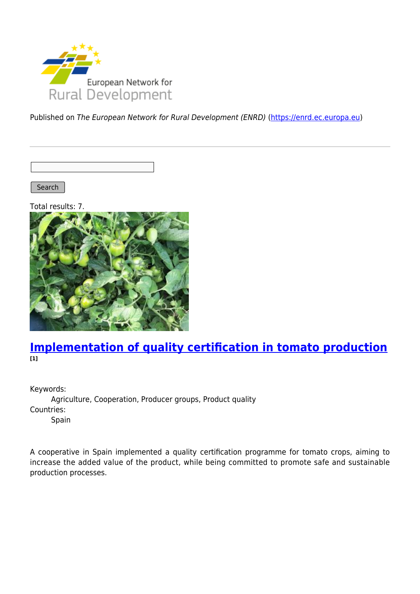

Published on The European Network for Rural Development (ENRD) [\(https://enrd.ec.europa.eu](https://enrd.ec.europa.eu))

Search |

Total results: 7.



#### **[Implementation of quality certification in tomato production](https://enrd.ec.europa.eu/projects-practice/implementation-quality-certification-tomato-production_en) [1]**

Keywords:

Agriculture, Cooperation, Producer groups, Product quality Countries: Spain

A cooperative in Spain implemented a quality certification programme for tomato crops, aiming to increase the added value of the product, while being committed to promote safe and sustainable production processes.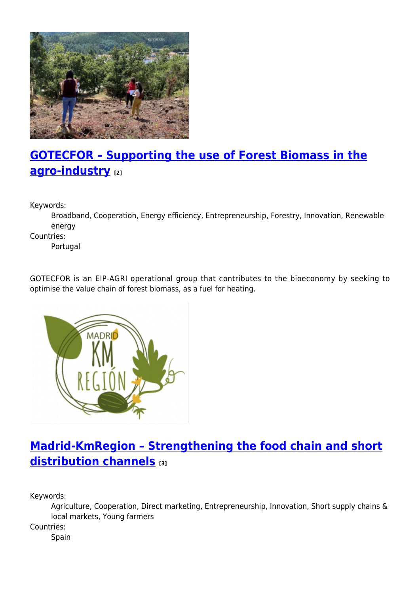

# **[GOTECFOR – Supporting the use of Forest Biomass in the](https://enrd.ec.europa.eu/projects-practice/gotecfor-supporting-use-forest-biomass-agro-industry_en) [agro-industry](https://enrd.ec.europa.eu/projects-practice/gotecfor-supporting-use-forest-biomass-agro-industry_en) [2]**

Keywords:

Broadband, Cooperation, Energy efficiency, Entrepreneurship, Forestry, Innovation, Renewable energy

Countries:

Portugal

GOTECFOR is an EIP-AGRI operational group that contributes to the bioeconomy by seeking to optimise the value chain of forest biomass, as a fuel for heating.



## **[Madrid-KmRegion – Strengthening the food chain and short](https://enrd.ec.europa.eu/projects-practice/madrid-kmregion-strengthening-food-chain-and-short-distribution-channels_en) [distribution channels](https://enrd.ec.europa.eu/projects-practice/madrid-kmregion-strengthening-food-chain-and-short-distribution-channels_en) [3]**

Keywords:

Agriculture, Cooperation, Direct marketing, Entrepreneurship, Innovation, Short supply chains & local markets, Young farmers

Countries:

Spain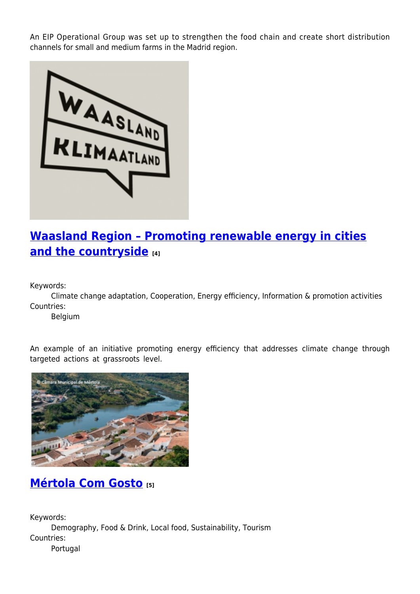An EIP Operational Group was set up to strengthen the food chain and create short distribution channels for small and medium farms in the Madrid region.



## **[Waasland Region – Promoting renewable energy in cities](https://enrd.ec.europa.eu/projects-practice/waasland-region-promoting-renewable-energy-cities-and-countryside_en) [and the countryside](https://enrd.ec.europa.eu/projects-practice/waasland-region-promoting-renewable-energy-cities-and-countryside_en) [4]**

Keywords:

Climate change adaptation, Cooperation, Energy efficiency, Information & promotion activities Countries:

Belgium

An example of an initiative promoting energy efficiency that addresses climate change through targeted actions at grassroots level.



### **[Mértola Com Gosto](https://enrd.ec.europa.eu/projects-practice/mertola-com-gosto_en) [5]**

Keywords: Demography, Food & Drink, Local food, Sustainability, Tourism Countries: Portugal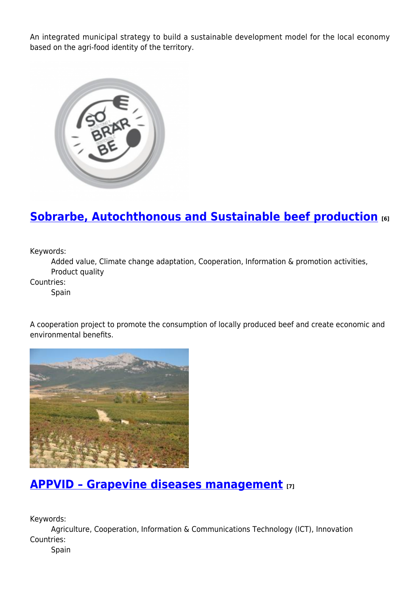An integrated municipal strategy to build a sustainable development model for the local economy based on the agri-food identity of the territory.



### **[Sobrarbe, Autochthonous and Sustainable beef production](https://enrd.ec.europa.eu/projects-practice/sobrarbe-autochthonous-and-sustainable-beef-production_en) [6]**

Keywords:

Added value, Climate change adaptation, Cooperation, Information & promotion activities, Product quality

Countries:

**Spain** 

A cooperation project to promote the consumption of locally produced beef and create economic and environmental benefits.



#### **[APPVID – Grapevine diseases management](https://enrd.ec.europa.eu/projects-practice/appvid-grapevine-diseases-management_en) [7]**

Keywords:

Agriculture, Cooperation, Information & Communications Technology (ICT), Innovation Countries:

Spain